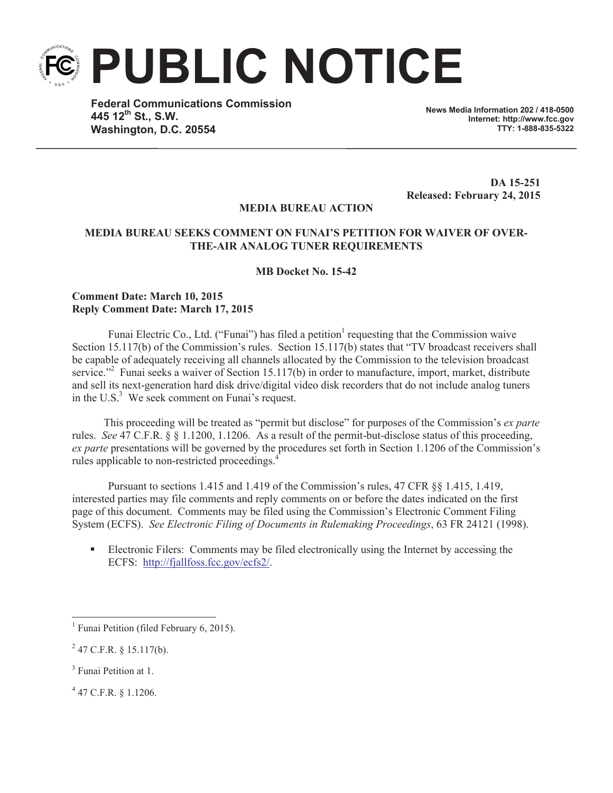**PUBLIC NOTICE**

**Federal Communications Commission 445 12th St., S.W. Washington, D.C. 20554**

**News Media Information 202 / 418-0500 Internet: http://www.fcc.gov TTY: 1-888-835-5322**

**DA 15-251 Released: February 24, 2015**

## **MEDIA BUREAU ACTION**

## **MEDIA BUREAU SEEKS COMMENT ON FUNAI'S PETITION FOR WAIVER OF OVER-THE-AIR ANALOG TUNER REQUIREMENTS**

**MB Docket No. 15-42**

## **Comment Date: March 10, 2015 Reply Comment Date: March 17, 2015**

Funai Electric Co., Ltd. ("Funai") has filed a petition<sup>1</sup> requesting that the Commission waive Section 15.117(b) of the Commission's rules. Section 15.117(b) states that "TV broadcast receivers shall be capable of adequately receiving all channels allocated by the Commission to the television broadcast service."<sup>2</sup> Funai seeks a waiver of Section 15.117(b) in order to manufacture, import, market, distribute and sell its next-generation hard disk drive/digital video disk recorders that do not include analog tuners in the  $\mathrm{U.S.}^3$ . We seek comment on Funai's request.

This proceeding will be treated as "permit but disclose" for purposes of the Commission's *ex parte* rules. *See* 47 C.F.R. § § 1.1200, 1.1206. As a result of the permit-but-disclose status of this proceeding, *ex parte* presentations will be governed by the procedures set forth in Section 1.1206 of the Commission's rules applicable to non-restricted proceedings.<sup>4</sup>

Pursuant to sections 1.415 and 1.419 of the Commission's rules, 47 CFR §§ 1.415, 1.419, interested parties may file comments and reply comments on or before the dates indicated on the first page of this document. Comments may be filed using the Commission's Electronic Comment Filing System (ECFS). *See Electronic Filing of Documents in Rulemaking Proceedings*, 63 FR 24121 (1998).

Electronic Filers: Comments may be filed electronically using the Internet by accessing the ECFS: http://fjallfoss.fcc.gov/ecfs2/.

4 47 C.F.R. § 1.1206.

<sup>&</sup>lt;sup>1</sup> Funai Petition (filed February 6, 2015).

 $^{2}$  47 C.F.R. § 15.117(b).

<sup>&</sup>lt;sup>3</sup> Funai Petition at 1.